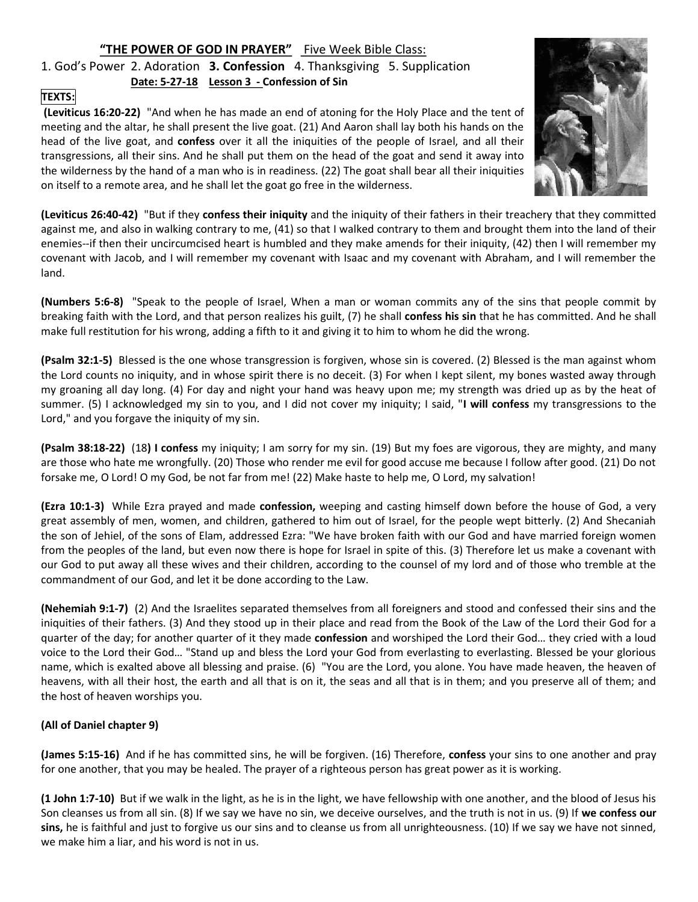# "THE POWER OF GOD IN PRAYER" Five Week Bible Class:

1. God's Power 2. Adoration 3. Confession 4. Thanksgiving 5. Supplication Date: 5-27-18 Lesson 3 - Confession of Sin

## TEXTS:

 (Leviticus 16:20-22) "And when he has made an end of atoning for the Holy Place and the tent of meeting and the altar, he shall present the live goat. (21) And Aaron shall lay both his hands on the head of the live goat, and confess over it all the iniquities of the people of Israel, and all their transgressions, all their sins. And he shall put them on the head of the goat and send it away into the wilderness by the hand of a man who is in readiness. (22) The goat shall bear all their iniquities on itself to a remote area, and he shall let the goat go free in the wilderness.



(Leviticus 26:40-42) "But if they confess their iniquity and the iniquity of their fathers in their treachery that they committed against me, and also in walking contrary to me, (41) so that I walked contrary to them and brought them into the land of their enemies--if then their uncircumcised heart is humbled and they make amends for their iniquity, (42) then I will remember my covenant with Jacob, and I will remember my covenant with Isaac and my covenant with Abraham, and I will remember the land.

(Numbers 5:6-8) "Speak to the people of Israel, When a man or woman commits any of the sins that people commit by breaking faith with the Lord, and that person realizes his guilt, (7) he shall confess his sin that he has committed. And he shall make full restitution for his wrong, adding a fifth to it and giving it to him to whom he did the wrong.

(Psalm 32:1-5) Blessed is the one whose transgression is forgiven, whose sin is covered. (2) Blessed is the man against whom the Lord counts no iniquity, and in whose spirit there is no deceit. (3) For when I kept silent, my bones wasted away through my groaning all day long. (4) For day and night your hand was heavy upon me; my strength was dried up as by the heat of summer. (5) I acknowledged my sin to you, and I did not cover my iniquity; I said, "I will confess my transgressions to the Lord," and you forgave the iniquity of my sin.

(Psalm 38:18-22) (18) I confess my iniquity; I am sorry for my sin. (19) But my foes are vigorous, they are mighty, and many are those who hate me wrongfully. (20) Those who render me evil for good accuse me because I follow after good. (21) Do not forsake me, O Lord! O my God, be not far from me! (22) Make haste to help me, O Lord, my salvation!

(Ezra 10:1-3) While Ezra prayed and made confession, weeping and casting himself down before the house of God, a very great assembly of men, women, and children, gathered to him out of Israel, for the people wept bitterly. (2) And Shecaniah the son of Jehiel, of the sons of Elam, addressed Ezra: "We have broken faith with our God and have married foreign women from the peoples of the land, but even now there is hope for Israel in spite of this. (3) Therefore let us make a covenant with our God to put away all these wives and their children, according to the counsel of my lord and of those who tremble at the commandment of our God, and let it be done according to the Law.

(Nehemiah 9:1-7) (2) And the Israelites separated themselves from all foreigners and stood and confessed their sins and the iniquities of their fathers. (3) And they stood up in their place and read from the Book of the Law of the Lord their God for a quarter of the day; for another quarter of it they made confession and worshiped the Lord their God... they cried with a loud voice to the Lord their God… "Stand up and bless the Lord your God from everlasting to everlasting. Blessed be your glorious name, which is exalted above all blessing and praise. (6) "You are the Lord, you alone. You have made heaven, the heaven of heavens, with all their host, the earth and all that is on it, the seas and all that is in them; and you preserve all of them; and the host of heaven worships you.

### (All of Daniel chapter 9)

(James 5:15-16) And if he has committed sins, he will be forgiven. (16) Therefore, confess your sins to one another and pray for one another, that you may be healed. The prayer of a righteous person has great power as it is working.

(1 John 1:7-10) But if we walk in the light, as he is in the light, we have fellowship with one another, and the blood of Jesus his Son cleanses us from all sin. (8) If we say we have no sin, we deceive ourselves, and the truth is not in us. (9) If we confess our sins, he is faithful and just to forgive us our sins and to cleanse us from all unrighteousness. (10) If we say we have not sinned, we make him a liar, and his word is not in us.